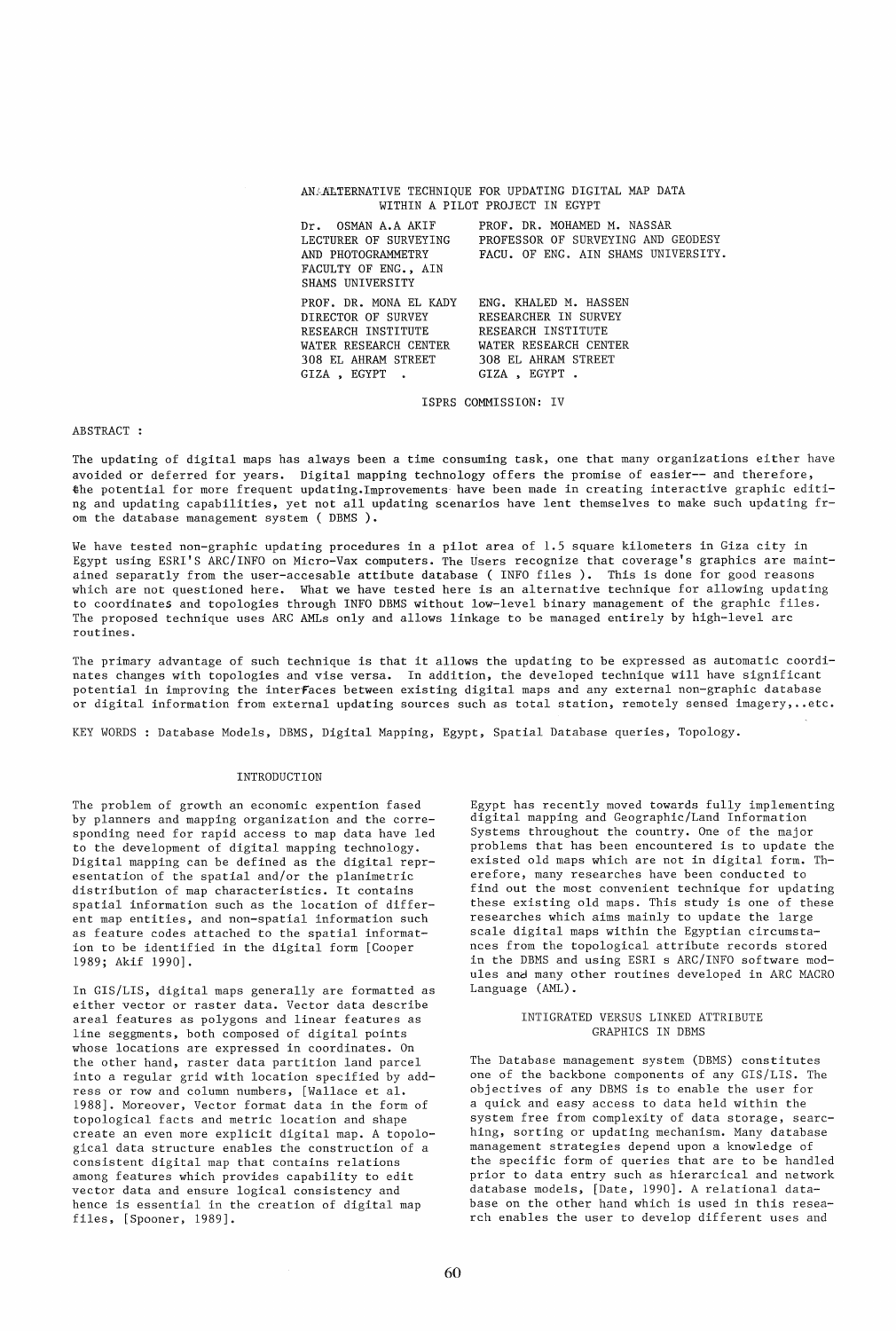|                                                                                                                                                           | ANAALTERNATIVE TECHNIQUE FOR UPDATING DIGITAL MAP DATA<br>WITHIN A PILOT PROJECT IN EGYPT                                   |
|-----------------------------------------------------------------------------------------------------------------------------------------------------------|-----------------------------------------------------------------------------------------------------------------------------|
| Dr. OSMAN A.A AKIF<br>LECTURER OF SURVEYING<br>FACULTY OF ENG., AIN<br>SHAMS UNIVERSITY                                                                   | PROF. DR. MOHAMED M. NASSAR<br>PROFESSOR OF SURVEYING AND GEODESY<br>AND PHOTOGRAMMETRY FACU. OF ENG. AIN SHAMS UNIVERSITY. |
| PROF. DR. MONA EL KADY<br>DIRECTOR OF SURVEY RESEARCHER IN SURVEY<br>RESEARCH INSTITUTE<br>WATER RESEARCH CENTER<br>308 EL AHRAM STREET<br>GIZA . EGYPT . | ENG. KHALED M. HASSEN<br>RESEARCH INSTITUTE<br>WATER RESEARCH CENTER<br>308 EL AHRAM STREET<br>GIZA, EGYPT.                 |

ISPRS COMMISSION: IV

### ABSTRACT :

The updating of digital maps has always been a time consuming task, one that many organizations either have avoided or deferred for years. Digital mapping technology offers the promise of easier-- and therefore, the potential for more frequent updating.lmprovements have been made in creating interactive graphic editing and updating capabilities, yet not all updating scenarios have lent themselves to make such updating from the database management system ( DBMS ).

We have tested non-graphic updating procedures in a pilot area of *1.5* square kilometers in Giza city in Egypt using ESRI'S ARC/INFO on Micro-Vax computers. The Users recognize that coverage's graphics are maintained separatly from the user-accesable attibute database ( INFO files). This is done for good reasons which are not questioned here. What we have tested here is an alternative technique for allowing updating to coordinates and topologies through INFO DBMS without low-level binary management of the graphic files. The proposed technique uses ARC AMLs only and allows linkage to be managed entirely by high-level arc routines.

The primary advantage of such technique is that it allows the updating to be expressed as automatic coordinates changes with topologies and vise versa. In addition, the developed technique will have significant potential in improving the interfaces between existing digital maps and any external non-graphic database or digital information from external updating sources such as total station, remotely sensed imagery, •. etc.

KEY WORDS: Database Models, DBMS, Digital Mapping, Egypt, Spatial Database queries, Topology.

### INTRODUCTION

The problem of growth an economic expention fased by planners and mapping organization and the corresponding need for rapid access to map data have led to the development of digital mapping technology. Digital mapping can be defined as the digital representation of the spatial and/or the planimetric distribution of map characteristics. It contains spatial information such as the location of different map entities, and non-spatial information such as feature codes attached to the spatial information to be identified in the digital form [Cooper 1989; Akif 1990].

In GIS/LIS, digital maps generally are formatted as either vector or raster data. Vector data describe areal features as polygons and linear features as line seggments, both composed of digital points whose locations are expressed in coordinates. On the other hand, raster data partition land parcel into a regular grid with location specified by address or row and column numbers, [Wallace et al. 1988]. Moreover, Vector format data in the form of topological facts and metric location and shape create an even more explicit digital map. A topological data structure enables the construction of a consistent digital map that contains relations among features which provides capability to edit vector data and ensure logical consistency and hence is essential in the creation of digital map files, [Spooner, 1989].

Egypt has recently moved towards fully implementing digital mapping and Geographic/Land Information Systems throughout the country. One of the major problems that has been encountered is to update the existed old maps which are not in digital form. Therefore, many researches have been conducted to find out the most convenient technique for updating these existing old maps. This study is one of these researches which aims mainly to update the large scale digital maps within the Egyptian circumstances from the topological attribute records stored in the DBMS and using ESRI s ARC/INFO software modules and many other routines developed in ARC MACRO Language (AML).

## INTIGRATED VERSUS LINKED ATTRIBUTE GRAPHICS IN DBMS

The Database management system (DBMS) constitutes one of the backbone components of any GIS/LIS. The objectives of any DBMS is to enable the user for a quick and easy access to data held within the system free from complexity of data storage, searching, sorting or updating mechanism. Many database management strategies depend upon a knowledge of the specific form of queries that are to be handled prior to data entry such as hierarcical and network database models, [Date, 1990]. A relational database on the other hand which is used in this research enables the user to develop different uses and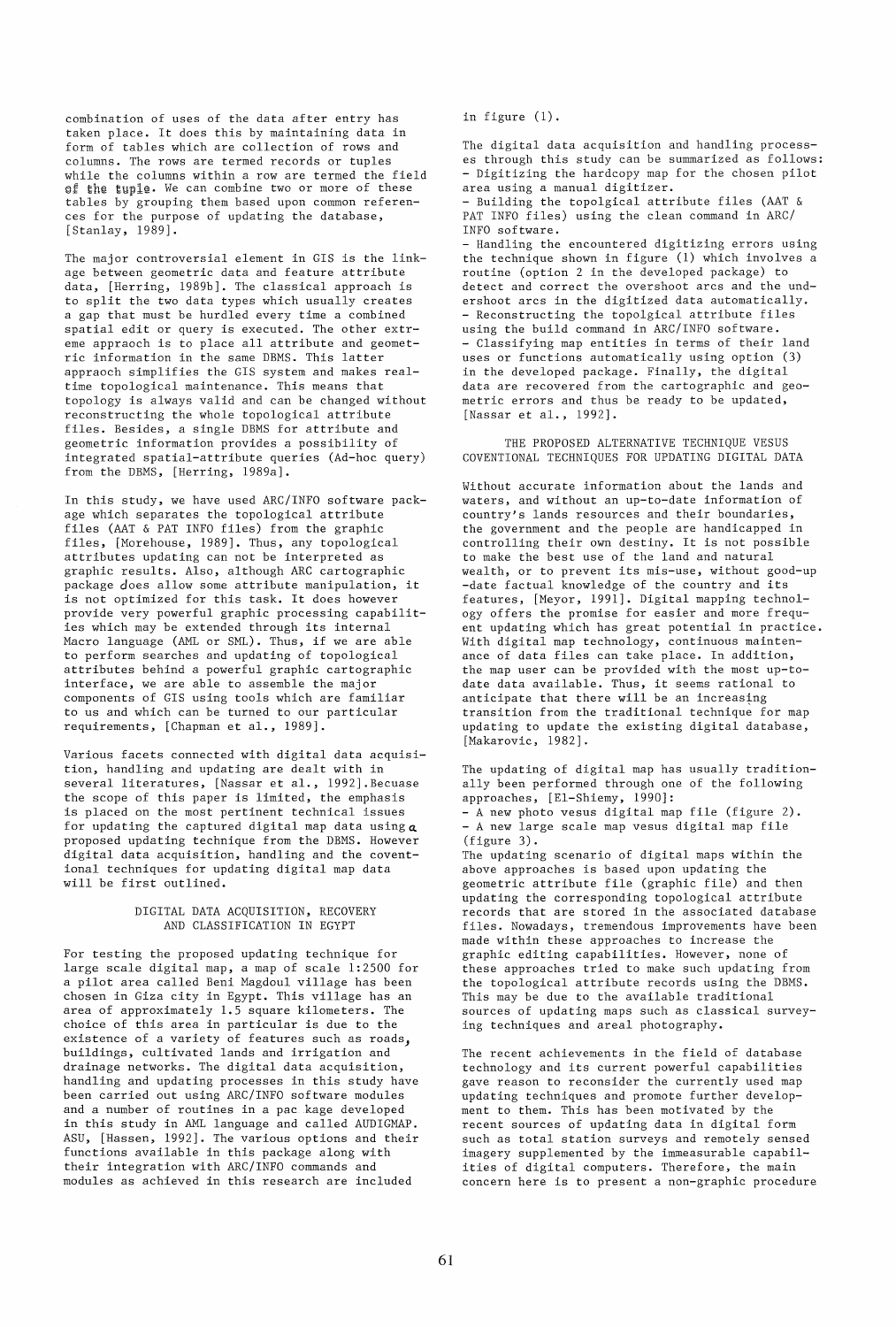combination of uses of the data after entry has taken place. It does this by maintaining data in form of tables which are collection of rows and columns. The rows are termed records or tuples while the columns within a row are termed the field of the tuple. We can combine two or more of these tables by grouping them based upon common references for the purpose of updating the database, [Stanlay, 1989].

The major controversial element in GIS is the linkage between geometric data and feature attribute data, [Herring, 1989b]. The classical approach is to split the two data types which usually creates a gap that must be hurdled every time a combined spatial edit or query is executed. The other extreme appraoch is to place all attribute and geometric information in the same DBMS. This latter appraoch simplifies the GIS system and makes realtime topological maintenance. This means that topology is always valid and can be changed without reconstructing the whole topological attribute files. Besides, a single DBMS for attribute and geometric information provides a possibility of integrated spatial-attribute queries (Ad-hoc query) from the DBMS, [Herring, 1989a].

In this study, we have used ARC/INFO software package which separates the topological attribute files (AAT & PAT INFO files) from the graphic files, [Morehouse, 1989]. Thus, any topological attributes updating can not be interpreted as graphic results. Also, although ARC cartographic package does allow some attribute manipulation, it is not optimized for this task. It does however provide very powerful graphic processing capabilities which may be extended through its internal Macro language (AML or SML). Thus, if we are able to perform searches and updating of topological attributes behind a powerful graphic cartographic interface, we are able to assemble the major components of GIS using tools which are familiar to us and which can be turned to our particular requirements, [Chapman et al., 1989].

Various facets connected with digital data acquisition, handling and updating are dealt with in several literatures, [Nassar et al., 1992].Becuase the scope of this paper is limited, the emphasis is placed on the most pertinent technical issues for updating the captured digital map data using  $a$ proposed updating technique from the DBMS. However digital data acquisition, handling and the coventional techniques for updating digital map data will be first outlined.

## DIGITAL DATA ACQUISITION, RECOVERY AND CLASSIFICATION IN EGYPT

For testing the proposed updating technique for large scale digital map, a map of scale 1:2500 for a pilot area called Beni Magdoul village has been chosen in Giza city in Egypt. This village has an area of approximately 1.5 square kilometers. The choice of this area in particular is due to the existence of a variety of features such as roads) buildings, cultivated lands and irrigation and drainage networks. The digital data acquisition, handling and updating processes in this study have been carried out using ARC/INFO software modules and a number of routines in a pac kage developed in this study in AML language and called AUDIGMAP. ASU, [Hassen, 1992]. The various options and their functions available in this package along with their integration with ARC/INFO commands and modules as achieved in this research are included

in figure (1).

The digital data acquisition and handling processes through this study can be summarized as follows: - Digitizing the hardcopy map for the chosen pilot area using a manual digitizer. - Building the topolgical attribute files (AAT &

PAT INFO files) using the clean command in ARC/ INFO software.

- Handling the encountered digitizing errors using the technique shown in figure (1) which involves a routine (option 2 in the developed package) to detect and correct the overshoot arcs and the undershoot arcs in the digitized data automatically. - Reconstructing the topolgical attribute files using the build command in ARC/INFO software. - Classifying map entities in terms of their land uses or functions automatically using option (3) in the developed package. Finally, the digital data are recovered from the cartographic and geometric errors and thus be ready to be updated, [Nassar et al., 1992].

THE PROPOSED ALTERNATIVE TECHNIQUE VESUS COVENTIONAL TECHNIQUES FOR UPDATING DIGITAL DATA

Without accurate information about the lands and waters, and without an up-to-date information of country's lands resources and their boundaries, the government and the people are handicapped in controlling their own destiny. It is not possible to make the best use of the land and natural wealth, or to prevent its mis-use, without good-up -date factual knowledge of the country and its features, [Meyor, 1991]. Digital mapping technology offers the promise for easier and more frequent updating which has great potential in practice. With digital map technology, continuous maintenance of data files can take place. In addition, the map user can be provided with the most up-todate data available. Thus, it seems rational to anticipate that there will be an increasing transition from the traditional technique for map updating to update the existing digital database, [Makarovic, 1982].

The updating of digital map has usually traditionally been performed through one of the following approaches, [EI-Shiemy, 1990]: - A new photo vesus digital map file (figure 2). - A new large scale map vesus digital map file (figure 3). The updating scenario of digital maps within the above approaches is based upon updating the geometric attribute file (graphic file) and then updating the corresponding topological attribute records that are stored in the associated database files. Nowadays, tremendous improvements have been made within these approaches to increase the graphic editing capabilities. However, none of these approaches tried to make such updating from the topological attribute records using the DBMS. This may be due to the available traditional sources of updating maps such as classical survey-

The recent achievements in the field of database technology and its current powerful capabilities gave reason to reconsider the currently used map updating techniques and promote further development to them. This has been motivated by the recent sources of updating data in digital form such as total station surveys and remotely sensed imagery supplemented by the immeasurable capabilities of digital computers. Therefore, the main concern here is to present a non-graphic procedure

ing techniques and areal photography.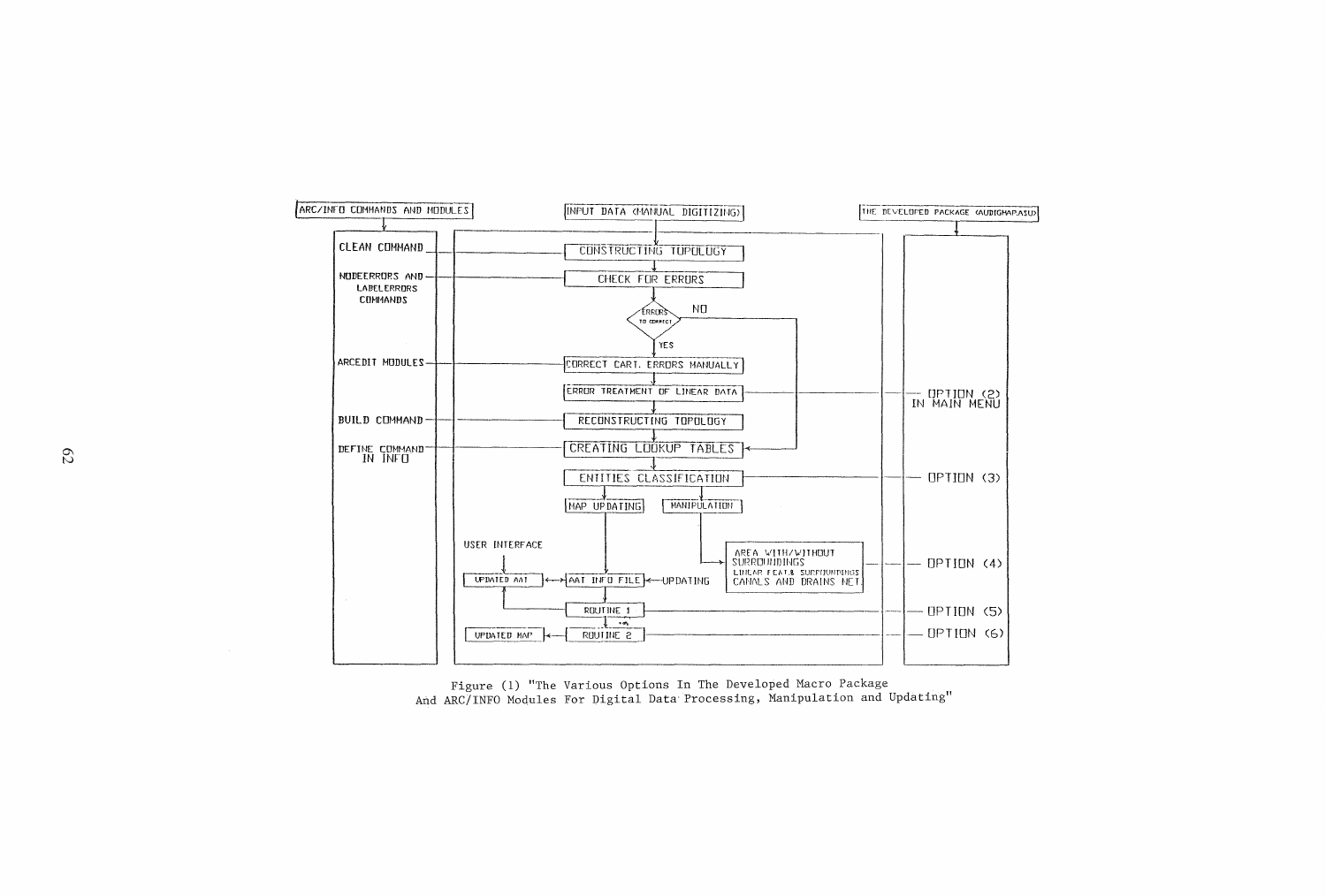

Figure (1) "The Various Options In The Developed Macro Package And ARC/INFO Modules For Digital Data Processing, Manipulation and Updating"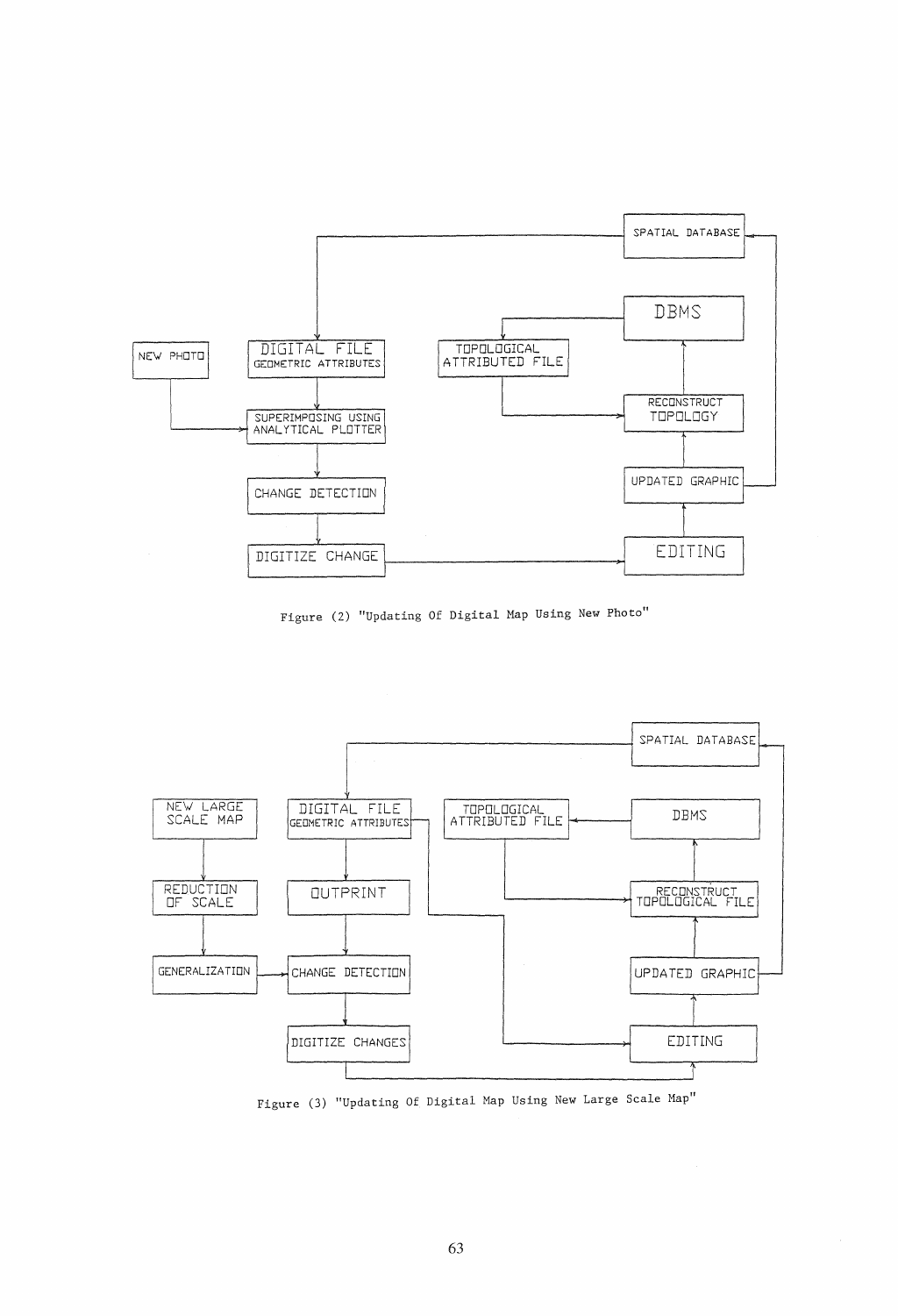

Figure (2) "Updating Of Digital Map Using New Photo"



Figure (3) "Updating Of Digital Map Using New Large Scale Map"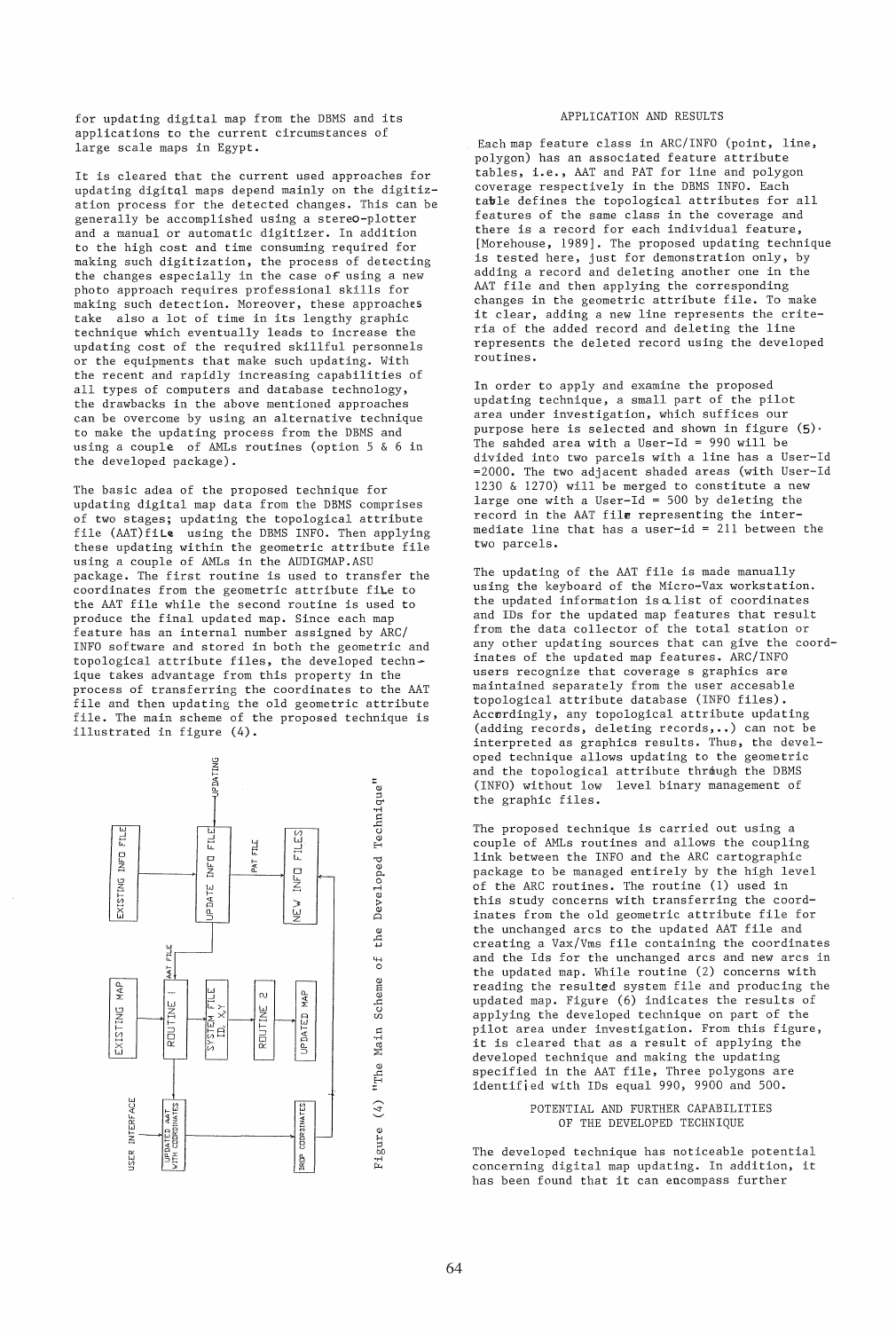for updating digital map from the DBMS and its applications to the current circumstances of large scale maps in Egypt.

It is cleared that the current used approaches for updating digital maps depend mainly on the digitization process for the detected changes. This can be generally be accomplished using a stereo-plotter and a manual or automatic digitizer. In addition to the high cost and time consuming required for making such digitization, the process of detecting the changes especially in the case *of* using a new photo approach requires professional skills for making such detection. Moreover, these approaches take also a lot of time in its lengthy graphic technique which eventually leads to increase the updating cost of the required skillful personnels or the equipments that make such updating. With the recent and rapidly increasing capabilities of all types of computers and database technology, the drawbacks in the above mentioned approaches can be overcome by using an alternative technique to make the updating process from the DBMS and using a couple of AMLs routines (option 5 & 6 in the developed package).

The basic adea of the proposed technique for updating digital map data from the DBMS comprises of two stages; updating the topological attribute file (AAT)fiLe using the DBMS INFO. Then applying these updating within the geometric attribute file using a couple of AMLs in the AUDIGMAP.ASU package. The first routine is used to transfer the coordinates from the geometric attribute fiLe to the AAT file while the second routine is used to produce the final updated map. Since each map feature has an internal number assigned by ARC/ INFO software and stored in both the geometric and topological attribute files, the developed technique takes advantage from this property in the process of transferring the coordinates to the AAT file and then updating the old geometric attribute file. The main scheme of the proposed technique is illustrated in figure (4).

PDATING the Developed Technique" \_\_<br>!!<br>!!  $\begin{array}{c} \begin{array}{c} \text{FIL} \\ \text{FIL} \end{array} \\ \begin{array}{c} \text{FIL} \\ \text{FIL} \end{array} \end{array}$ FILES INF<sub>I</sub> 0 0 ~ <sup>~</sup>  $\begin{array}{c|c}\n\hline\n\text{TE} & \text{INFD} \\
\hline\n\text{PA} & \text{F} \\
\hline\n\text{PA} & \text{F} \\
\hline\n\end{array}$ <sup>~</sup>~ ~  $\begin{array}{c|c}\n 2 \text{RISTING} \ \hline\n 3 \text{PATE} & 1\n\end{array}$ 。 <u> </u>  $\begin{array}{c|c|c|c|c} \mathbf{z} & \mathbf{w} & \mathbf{w} & \mathbf{w} \end{array}$  $\mathbb{R}$   $\begin{bmatrix} 1 & 1 & 1 \\ 1 & 1 & 1 \\ 1 & 1 & 1 \end{bmatrix}$   $\begin{bmatrix} 2 & 1 & 1 \\ 1 & 1 & 1 \\ 1 & 1 & 1 \end{bmatrix}$  $\frac{B}{C}$  , where  $\frac{B}{C}$  , where  $\frac{B}{C}$ FILE 최 MAP  $\frac{d\mathbf{x}}{d\mathbf{x}}$   $\left| \begin{array}{c} - \\ - \end{array} \right|$   $\left| \begin{array}{c} \frac{d\mathbf{x}}{d\mathbf{x}} \end{array} \right|$   $\left| \begin{array}{c} \frac{d\mathbf{x}}{d\mathbf{x}} \end{array} \right|$ y | ㄷ~,| | <sub>ሠ</sub> | | <sup>호</sup> ROUTINE **EXISTING**  $Z \longrightarrow \overline{Z} \longrightarrow \overline{Z} \longrightarrow \overline{Z} \longrightarrow B$ <sup>~</sup>w ~ w ~ ~~ ~ w 0 M~ ~ ~  $\mathbb{R}$   $\mathbb{R}$   $\mathbb{R}$   $\mathbb{R}$   $\mathbb{R}$   $\mathbb{R}$   $\mathbb{R}$   $\mathbb{R}$   $\mathbb{R}$ W ~ INTERFACE NTERFACT<br>
DISTED ANTS<br>
CODED INTERFERIES<br>
CODED INTERFERIES **JSER**  $\frac{1}{2}$   $\frac{1}{2}$   $\frac{1}{2}$   $\frac{1}{2}$   $\frac{1}{2}$   $\frac{1}{2}$   $\frac{1}{2}$   $\frac{1}{2}$   $\frac{1}{2}$   $\frac{1}{2}$   $\frac{1}{2}$   $\frac{1}{2}$   $\frac{1}{2}$   $\frac{1}{2}$   $\frac{1}{2}$   $\frac{1}{2}$   $\frac{1}{2}$   $\frac{1}{2}$   $\frac{1}{2}$   $\frac{1}{2}$   $\frac{1}{2}$   $\frac{1}{2}$ 

APPLICATION AND RESULTS

Eachmap feature class in ARC/INFO (point, line, polygon) has an associated feature attribute tables, i.e., AAT and PAT for line and polygon coverage respectively in the DBMS INFO. Each table defines the topological attributes for all features of the same class in the coverage and there is a record for each individual feature, [Morehouse, 1989]. The proposed updating technique is tested here, just for demonstration only, by adding a record and deleting another one in the AAT file and then applying the corresponding changes in the geometric attribute file. To make it clear, adding a new line represents the criteria of the added record and deleting the line represents the deleted record using the developed routines.

In order to apply and examine the proposed updating technique, a small part of the pilot area under investigation, which suffices our purpose here is selected and shown in figure  $(5)$ . The sahded area with a User-Id = 990 will be divided into two parcels with a line has a User-Id =2000. The two adjacent shaded areas (with User-Id 1230 & 1270) will be merged to constitute a new large one with a User-Id = 500 by deleting the record in the AAT file representing the intermediate line that has a user-id =  $211$  between the two parcels.

The updating of the AAT file is made manually using the keyboard of the Micro-Vax workstation. the updated information is alist of coordinates and IDs for the updated map features that result from the data collector of the total station or any other updating sources that can give the coordinates of the updated map features. ARC/INFO users recognize that coverage s graphics are maintained separately from the user accesable topological attribute database (INFO files). Accwrdingly, any topological attribute updating (adding records, deleting records, •• ) can not be interpreted as graphics results. Thus, the developed technique allows updating to the geometric and the topological attribute through the DBMS (INFO) without low level binary management of the graphic files.

The proposed technique is carried out using a couple of AMLs routines and allows the coupling link between the INFO and the ARC cartographic package to be managed entirely by the high level of the ARC routines. The routine (1) used in this study concerns with transferring the coordinates from the old geometric attribute file for the unchanged arcs to the updated AAT file and creating a Vax/Vms file containing the coordinates and the Ids for the unchanged arcs and new arcs in the updated map. While routine (2) concerns with reading the resulted system file and producing the updated map. Figure (6) indicates the results of applying the developed technique on part of the pilot area under investigation. From this figure, it is cleared that as a result of applying the developed technique and making the updating specified in the AAT file, Three polygons are identified with IDs equal 990, 9900 and 500.

> POTENTIAL AND FURTHER CAPABILITIES OF THE DEVELOPED TECHNIQUE

The developed technique has noticeable potential concerning digital map updating. In addition, it has been found that it can encompass further

 $\overline{\sigma}$ 

"The Main Scheme

Figure  $(4)$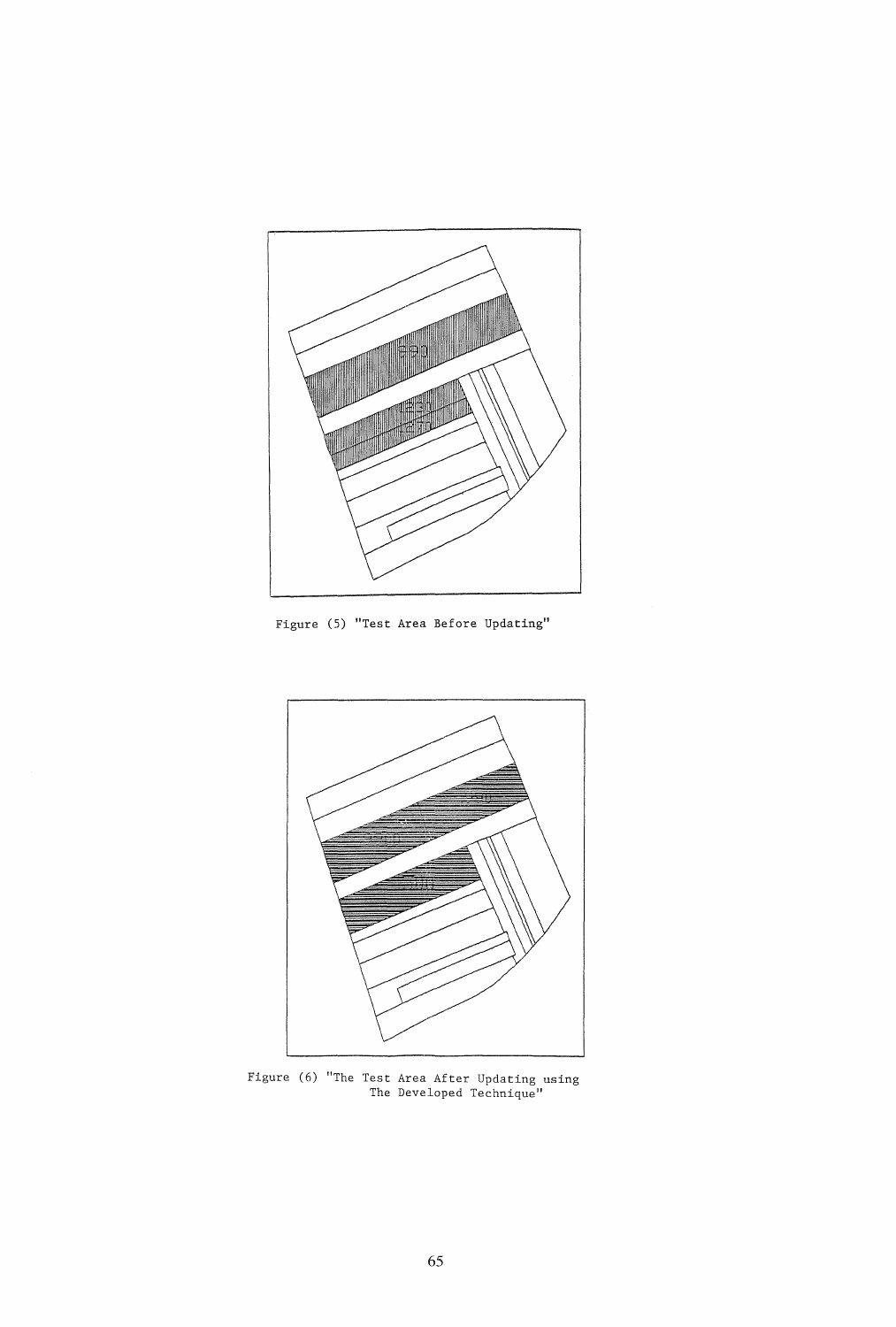

Figure (5) "Test Area Before Updating"



Figure (6) "The Test Area After Updating using The Developed Technique"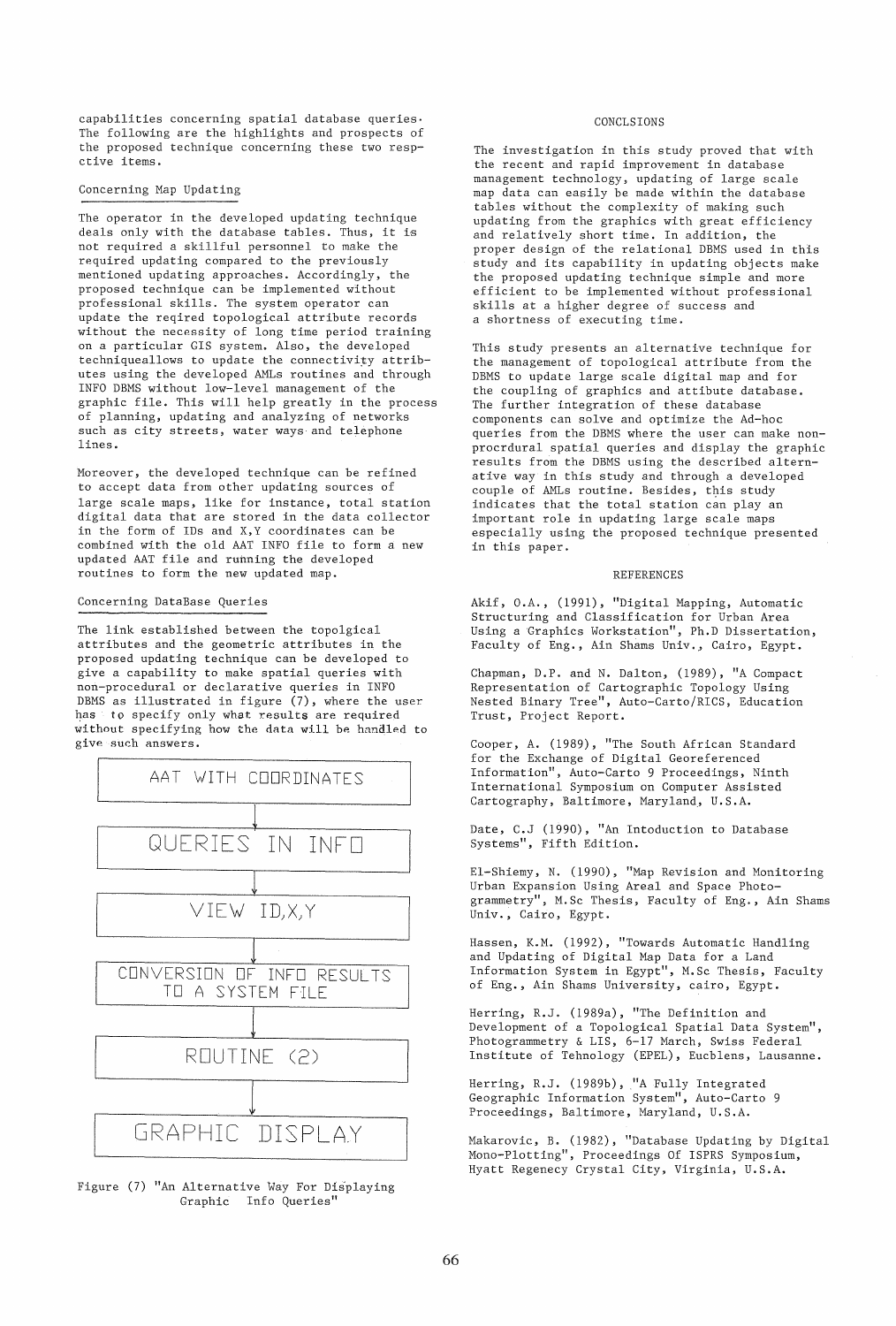$capabilities$  concerning spatial database queries $·$ The following are the highlights and prospects of the proposed technique concerning these two respctive items.

## Concerning Map Updating

The operator in the developed updating technique deals only with the database tables. Thus, it is not required a skillful personnel to make the required updating compared to the previously mentioned updating approaches. Accordingly, the proposed technique can be implemented without professional skills. The system operator can update the reqired topological attribute records without the necessity of long time period training on a particular GIS system. Also, the developed techniqueallows to update the connectivity attributes using the developed AMLs routines and through INFO DBMS without low-level management of the graphic file. This will help greatly in the process of planning, updating and analyzing of networks such as city streets, water ways and telephone lines.

Moreover, the developed technique can be refined to accept data from other updating sources of large scale maps, like for instance, total station digital data that are stored in the data collector in the form of IDs and X, Y coordinates can be combined with the old AAT INFO file to form a new updated AAT file and running the developed routines to form the new updated map.

# Concerning DataBase Queries

The link established between the topolgical attributes and the geometric attributes in the proposed updating technique can be developed to give a capability to make spatial queries with non-procedural or declarative queries in INFO DBMS as illustrated in figure (7), where the user has to specify only what results are required without specifying how the data will be handled to give such answers.



Figure (7) "An Alternative Way For Displaying Graphic Info Queries"

#### CONCLSIONS

The investigation in this study proved that with the recent and rapid improvement in database management technology, updating of large scale map data can easily be made within the database tables without the complexity of making such updating from the graphics with great efficiency and relatively short time. In addition, the proper design of the relational DBMS used in this study and its capability in updating objects make the proposed updating technique simple and more efficient to be implemented without professional skills at a higher degree of success and a shortness of executing time.

This study presents an alternative technique for the management of topological attribute from the DBMS to update large scale digital map and for the coupling of graphics and attibute database. The further integration of these database components can solve and optimize the Ad-hoc queries from the DBMS where the user can make nonprocrdural spatial queries and display the graphic results from the DBMS using the described alternative way in this study and through a developed couple of AMLs routine. Besides, this study indicates that the total station can play an important role in updating large scale maps especially using the proposed technique presented in this paper.

#### REFERENCES

Akif, O.A., (1991), "Digital Mapping, Automatic Structuring and Classification for Urban Area Using a Graphics Workstation", Ph.D Dissertation, Faculty of Eng., Ain Shams Univ., Cairo, Egypt.

Chapman, D.P. and N. Dalton, (1989), "A Compact Representation of Cartographic Topology Using Nested Binary Tree", Auto-Carto/RICS, Education Trust, Project Report.

Cooper, A. (1989), "The South African Standard for the Exchange of Digital Georeferenced Information", Auto-Carto 9 Proceedings, Ninth International Symposium on Computer Assisted Cartography, Baltimore, Maryland, U.S.A.

Date, C.J (1990), "An Intoduction to Database Systems", Fifth Edition.

El-Shiemy, N. (1990), "Map Revision and Monitoring Urban Expansion Using Areal and Space Photogrammetry", M.Sc Thesis, Faculty of Eng., Ain Shams Univ., Cairo, Egypt.

Hassen, K.M. (1992), "Towards Automatic Handling and Updating of Digital Map Data for a Land Information System in Egypt", M.Sc Thesis, Faculty of Eng., Ain Shams University, cairo, Egypt.

Herring, R.J. (1989a), "The Definition and Development of a Topological Spatial Data System", Photogrammetry & LIS, 6-17 March, Swiss Federal Institute of Tehnology (EPEL), Eucblens, Lausanne.

Herring, R.J. (1989b), "A Fully Integrated Geographic Information System", Auto-Carto 9 Proceedings, Baltimore, Maryland, U.S.A.

Makarovic, B. (1982), "Database Updating by Digital Mono-Plotting", Proceedings Of ISPRS Symposium, Hyatt Regenecy Crystal City, Virginia, U.S.A.